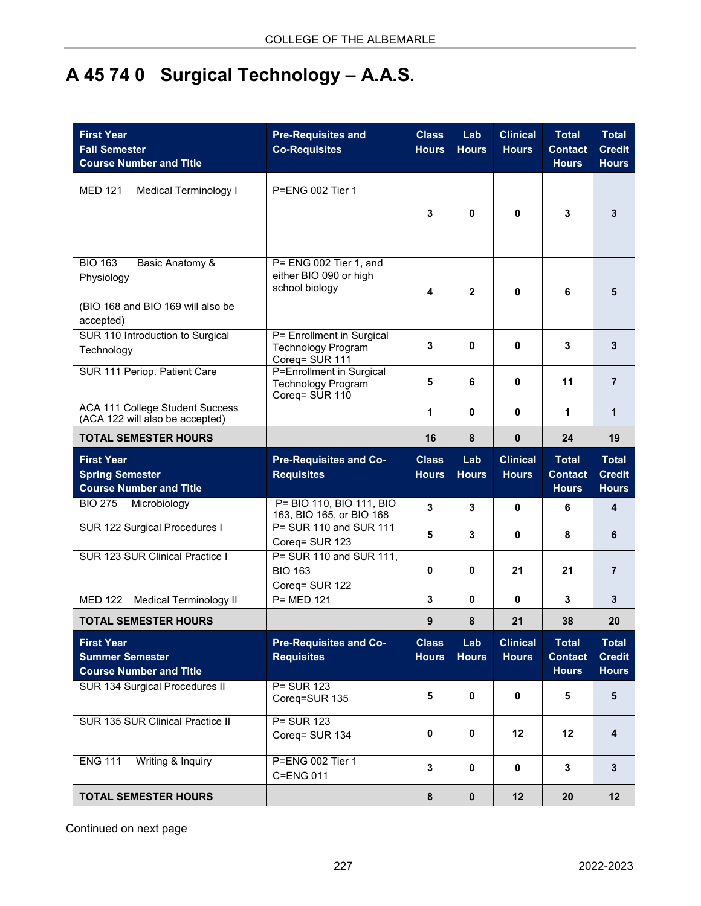## **A 45 74 0 Surgical Technology – A.A.S.**

| <b>First Year</b><br><b>Fall Semester</b><br><b>Course Number and Title</b>                       | <b>Pre-Requisites and</b><br><b>Co-Requisites</b>                        | <b>Class</b><br><b>Hours</b> | Lab<br><b>Hours</b> | <b>Clinical</b><br><b>Hours</b> | <b>Total</b><br><b>Contact</b><br><b>Hours</b> | <b>Total</b><br><b>Credit</b><br><b>Hours</b> |
|---------------------------------------------------------------------------------------------------|--------------------------------------------------------------------------|------------------------------|---------------------|---------------------------------|------------------------------------------------|-----------------------------------------------|
| <b>MED 121</b><br><b>Medical Terminology I</b>                                                    | $P=FNG 002$ Tier 1                                                       | 3                            | $\mathbf{0}$        | $\bf{0}$                        | 3                                              | 3                                             |
| <b>BIO 163</b><br>Basic Anatomy &<br>Physiology<br>(BIO 168 and BIO 169 will also be<br>accepted) | P= ENG 002 Tier 1, and<br>either BIO 090 or high<br>school biology       | 4                            | $\mathbf{2}$        | 0                               | 6                                              | 5                                             |
| SUR 110 Introduction to Surgical<br>Technology                                                    | P= Enrollment in Surgical<br><b>Technology Program</b><br>Coreq= SUR 111 | 3                            | 0                   | $\mathbf{0}$                    | 3                                              | 3                                             |
| SUR 111 Periop. Patient Care                                                                      | P=Enrollment in Surgical<br><b>Technology Program</b><br>Coreq= SUR 110  | 5                            | 6                   | 0                               | 11                                             | $\overline{7}$                                |
| <b>ACA 111 College Student Success</b><br>(ACA 122 will also be accepted)                         |                                                                          | 1                            | $\mathbf{0}$        | $\mathbf{0}$                    | 1                                              | $\mathbf{1}$                                  |
| <b>TOTAL SEMESTER HOURS</b>                                                                       |                                                                          | 16                           | 8                   | $\mathbf{0}$                    | 24                                             | 19                                            |
| <b>First Year</b><br><b>Spring Semester</b><br><b>Course Number and Title</b>                     | <b>Pre-Requisites and Co-</b><br><b>Requisites</b>                       | <b>Class</b><br><b>Hours</b> | Lab<br><b>Hours</b> | <b>Clinical</b><br><b>Hours</b> | <b>Total</b><br><b>Contact</b><br><b>Hours</b> | <b>Total</b><br><b>Credit</b><br><b>Hours</b> |
| BIO 275 Microbiology                                                                              | P= BIO 110, BIO 111, BIO<br>163, BIO 165, or BIO 168                     | 3                            | 3                   | $\mathbf{0}$                    | 6                                              | 4                                             |
| SUR 122 Surgical Procedures I                                                                     | P= SUR 110 and SUR 111<br>Coreq= SUR 123                                 | 5                            | 3                   | 0                               | 8                                              | 6                                             |
| <b>SUR 123 SUR Clinical Practice I</b>                                                            | P= SUR 110 and SUR 111,<br><b>BIO 163</b><br>Coreq= SUR 122              | 0                            | 0                   | 21                              | 21                                             | $\overline{7}$                                |
| <b>MED 122</b><br><b>Medical Terminology II</b>                                                   | $P = MED 121$                                                            | $\overline{\mathbf{3}}$      | $\mathbf{0}$        | $\mathbf{0}$                    | $\overline{\mathbf{3}}$                        | $\mathbf{3}$                                  |
| <b>TOTAL SEMESTER HOURS</b>                                                                       |                                                                          | 9                            | 8                   | 21                              | 38                                             | 20                                            |
| <b>First Year</b><br><b>Summer Semester</b><br><b>Course Number and Title</b>                     | <b>Pre-Requisites and Co-</b><br><b>Requisites</b>                       | <b>Class</b><br><b>Hours</b> | Lab<br><b>Hours</b> | <b>Clinical</b><br><b>Hours</b> | <b>Total</b><br><b>Contact</b><br><b>Hours</b> | <b>Total</b><br><b>Credit</b><br><b>Hours</b> |
| SUR 134 Surgical Procedures II                                                                    | P= SUR 123<br>Coreq=SUR 135                                              | 5                            | $\mathbf 0$         | $\mathbf 0$                     | 5                                              | $5\phantom{1}$                                |
| SUR 135 SUR Clinical Practice II                                                                  | P= SUR 123<br>Coreq= SUR 134                                             | $\mathbf 0$                  | $\mathbf 0$         | 12                              | 12                                             | 4                                             |
| Writing & Inquiry<br><b>ENG 111</b>                                                               | P=ENG 002 Tier 1<br>C=ENG 011                                            | 3                            | $\pmb{0}$           | $\pmb{0}$                       | 3                                              | $\mathbf{3}$                                  |
| <b>TOTAL SEMESTER HOURS</b>                                                                       |                                                                          | $\pmb{8}$                    | $\pmb{0}$           | 12                              | 20                                             | 12                                            |

Continued on next page